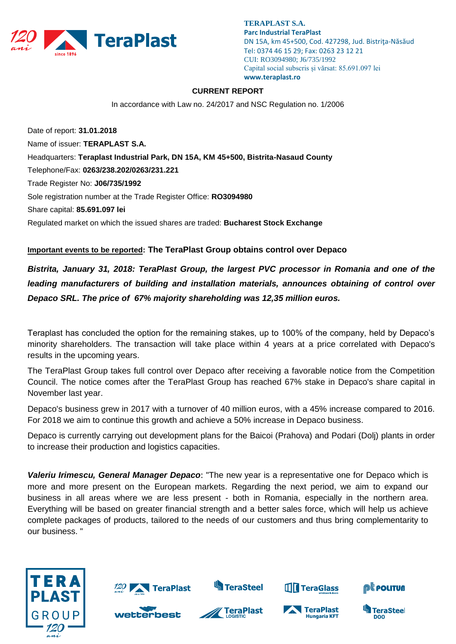

**TERAPLAST S.A. Parc Industrial TeraPlast** DN 15A, km 45+500, Cod. 427298, Jud. Bistriţa-Năsăud Tel: 0374 46 15 29; Fax: 0263 23 12 21 CUI: RO3094980; J6/735/1992 Capital social subscris și vărsat: 85.691.097 lei **www.teraplast.ro**

## **CURRENT REPORT**

In accordance with Law no. 24/2017 and NSC Regulation no. 1/2006

Date of report: **31.01.2018** Name of issuer: **TERAPLAST S.A.**  Headquarters: **Teraplast Industrial Park, DN 15A, KM 45+500, Bistrita-Nasaud County**  Telephone/Fax: **0263/238.202/0263/231.221**  Trade Register No: **J06/735/1992**  Sole registration number at the Trade Register Office: **RO3094980**  Share capital: **85.691.097 lei** Regulated market on which the issued shares are traded: **Bucharest Stock Exchange** 

## **Important events to be reported: The TeraPlast Group obtains control over Depaco**

*Bistrita, January 31, 2018: TeraPlast Group, the largest PVC processor in Romania and one of the leading manufacturers of building and installation materials, announces obtaining of control over Depaco SRL. The price of 67% majority shareholding was 12,35 million euros.*

Teraplast has concluded the option for the remaining stakes, up to 100% of the company, held by Depaco's minority shareholders. The transaction will take place within 4 years at a price correlated with Depaco's results in the upcoming years.

The TeraPlast Group takes full control over Depaco after receiving a favorable notice from the Competition Council. The notice comes after the TeraPlast Group has reached 67% stake in Depaco's share capital in November last year.

Depaco's business grew in 2017 with a turnover of 40 million euros, with a 45% increase compared to 2016. For 2018 we aim to continue this growth and achieve a 50% increase in Depaco business.

Depaco is currently carrying out development plans for the Baicoi (Prahova) and Podari (Dolj) plants in order to increase their production and logistics capacities.

*Valeriu Irimescu, General Manager Depaco*: "The new year is a representative one for Depaco which is more and more present on the European markets. Regarding the next period, we aim to expand our business in all areas where we are less present - both in Romania, especially in the northern area. Everything will be based on greater financial strength and a better sales force, which will help us achieve complete packages of products, tailored to the needs of our customers and thus bring complementarity to our business. "





**S**TeraSteel



**THE TeraGlass**